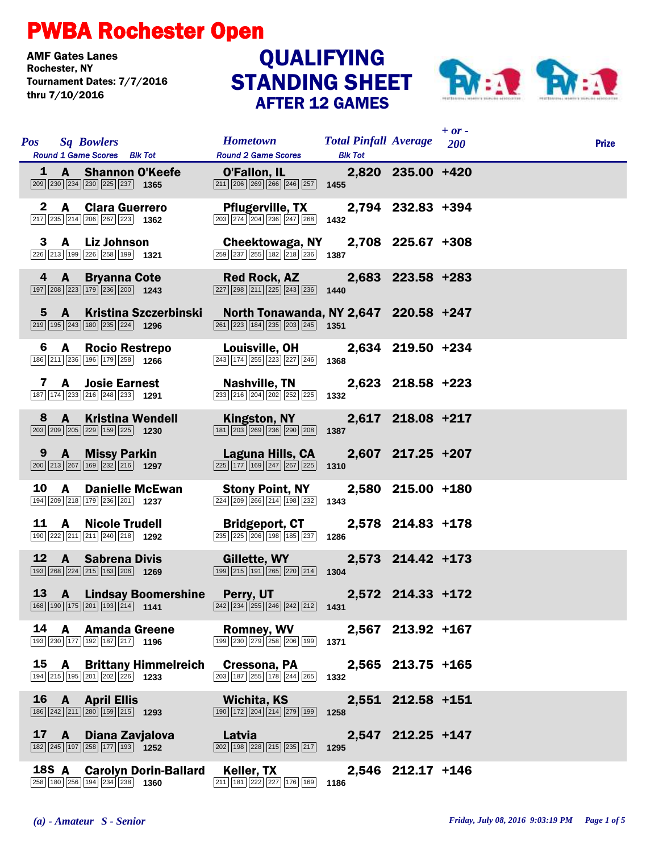## PWBA Rochester Open

**AMF Gates Lanes<br>Rochester, NY** Tournament Dates: 7/7/2016 thru 7/10/2016

## AFTER 12 GAMES **QUALIFYING**



|    | <b>Pos</b> Sq Bowlers                                                                                                                                 |                               | <b>Hometown</b>                                                                                                                                                 | <b>Total Pinfall Average</b> 200 |                   | $+$ or $-$ | <b>Prize</b> |
|----|-------------------------------------------------------------------------------------------------------------------------------------------------------|-------------------------------|-----------------------------------------------------------------------------------------------------------------------------------------------------------------|----------------------------------|-------------------|------------|--------------|
|    | Round 1 Game Scores Blk Tot<br>1 A Shannon O'Keefe<br>$\boxed{209}$ $\boxed{230}$ $\boxed{234}$ $\boxed{230}$ $\boxed{225}$ $\boxed{237}$ <b>1365</b> |                               | <b>Round 2 Game Scores</b><br>0'Fallon, IL 2,820 235.00 +420<br>$\boxed{211}$ $\boxed{206}$ $\boxed{269}$ $\boxed{266}$ $\boxed{246}$ $\boxed{257}$ <b>1455</b> | <b>Blk Tot</b>                   |                   |            |              |
|    | 2 A Clara Guerrero<br>217 235 214 206 267 223 1362                                                                                                    |                               | Pflugerville, TX 2,794 232.83 +394<br>$\boxed{203}\boxed{274}\boxed{204}\boxed{236}\boxed{247}\boxed{268}$ 1432                                                 |                                  |                   |            |              |
|    | 3 A Liz Johnson<br>226 213 199 226 258 199 1321                                                                                                       |                               | Cheektowaga, NY 2,708 225.67 +308<br>259 237 255 182 218 236 1387                                                                                               |                                  |                   |            |              |
|    | 4 A Bryanna Cote<br>197 208 223 179 236 200 1243                                                                                                      |                               | <b>Red Rock, AZ</b><br>$\boxed{227}$ $\boxed{298}$ $\boxed{211}$ $\boxed{225}$ $\boxed{243}$ $\boxed{236}$ <b>1440</b>                                          |                                  | 2,683 223.58 +283 |            |              |
|    | $\boxed{219}$ 195 $\boxed{243}$ 180 $\boxed{235}$ 224 1296                                                                                            | 5 A Kristina Szczerbinski     | North Tonawanda, NY 2,647 220.58 +247<br>$\boxed{261}$ $\boxed{223}$ 184 $\boxed{235}$ $\boxed{203}$ $\boxed{245}$ 1351                                         |                                  |                   |            |              |
| 6  | A Rocio Restrepo<br>186 211 236 196 179 258 1266                                                                                                      |                               | Louisville, OH 2,634 219.50 +234<br>243 174 255 223 227 246                                                                                                     | 1368                             |                   |            |              |
|    | <b>A</b> Josie Earnest<br>7<br>187 174 233 216 248 233 1291                                                                                           |                               | Nashville, TN<br>233 216 204 202 252 225                                                                                                                        | 1332                             | 2,623 218.58 +223 |            |              |
| 8  | <b>A</b> Kristina Wendell<br>$\boxed{203}$ $\boxed{209}$ $\boxed{205}$ $\boxed{229}$ $\boxed{159}$ $\boxed{225}$ <b>1230</b>                          |                               | Kingston, NY<br>$\boxed{181}$ $\boxed{203}$ $\boxed{269}$ $\boxed{236}$ $\boxed{290}$ $\boxed{208}$                                                             | 1387                             | 2,617 218.08 +217 |            |              |
|    | 9 A Missy Parkin<br>$\boxed{200}$ $\boxed{213}$ $\boxed{267}$ $\boxed{169}$ $\boxed{232}$ $\boxed{216}$ <b>1297</b>                                   |                               | Laguna Hills, CA<br>$\boxed{225}$ $\boxed{177}$ $\boxed{169}$ $\boxed{247}$ $\boxed{267}$ $\boxed{225}$                                                         | 1310                             | 2,607 217.25 +207 |            |              |
| 10 | <b>A</b><br>194 209 218 179 236 201 1237                                                                                                              | <b>Danielle McEwan</b>        | <b>Stony Point, NY</b><br>224 209 266 214 198 232                                                                                                               | 1343                             | 2,580 215.00 +180 |            |              |
| 11 | <b>A</b> Nicole Trudell<br>190 222 211 211 240 218 1292                                                                                               |                               | <b>Bridgeport, CT</b><br>235 225 206 198 185 237                                                                                                                | 1286                             | 2,578 214.83 +178 |            |              |
| 12 | A Sabrena Divis<br>$\boxed{193}$ $\boxed{268}$ $\boxed{224}$ $\boxed{215}$ $\boxed{163}$ $\boxed{206}$ <b>1269</b>                                    |                               | Gillette, WY<br>$\boxed{199}$ $\boxed{215}$ $\boxed{191}$ $\boxed{265}$ $\boxed{220}$ $\boxed{214}$                                                             | 1304                             | 2,573 214.42 +173 |            |              |
|    | $\boxed{168}\boxed{190}\boxed{175}\boxed{201}\boxed{193}\boxed{214}$ 1141                                                                             |                               | 13 A Lindsay Boomershine Perry, UT 2,572 214.33 +172<br>$\overline{242}$ $\overline{234}$ $\overline{255}$ $\overline{246}$ $\overline{242}$ $\overline{212}$   | 1431                             |                   |            |              |
| 14 | A Amanda Greene<br>$\boxed{193}\boxed{230}\boxed{177}\boxed{192}\boxed{187}\boxed{217}$ 1196                                                          |                               | <b>Romney, WV</b><br>199 230 279 258 206 199                                                                                                                    | 1371                             | 2,567 213.92 +167 |            |              |
| 15 | 194 215 195 201 202 226 1233                                                                                                                          | <b>A</b> Brittany Himmelreich | Cressona, PA<br>203 187 255 178 244 265                                                                                                                         | 1332                             | 2,565 213.75 +165 |            |              |
| 16 | A April Ellis<br>$\boxed{186}\boxed{242}\boxed{211}\boxed{280}\boxed{159}\boxed{215}$ 1293                                                            |                               | Wichita, KS<br>190 172 204 214 279 199                                                                                                                          | 1258                             | 2,551 212.58 +151 |            |              |
| 17 | A Diana Zavjalova<br>182 245 197 258 177 193 1252                                                                                                     |                               | Latvia<br>$\boxed{202}$ 198 228 215 235 217                                                                                                                     | 1295                             | 2,547 212.25 +147 |            |              |
|    | 18S A<br>258 180 256 194 234 238 1360                                                                                                                 | <b>Carolyn Dorin-Ballard</b>  | Keller, TX<br>211 181 222 227 176 169                                                                                                                           | 1186                             | 2,546 212.17 +146 |            |              |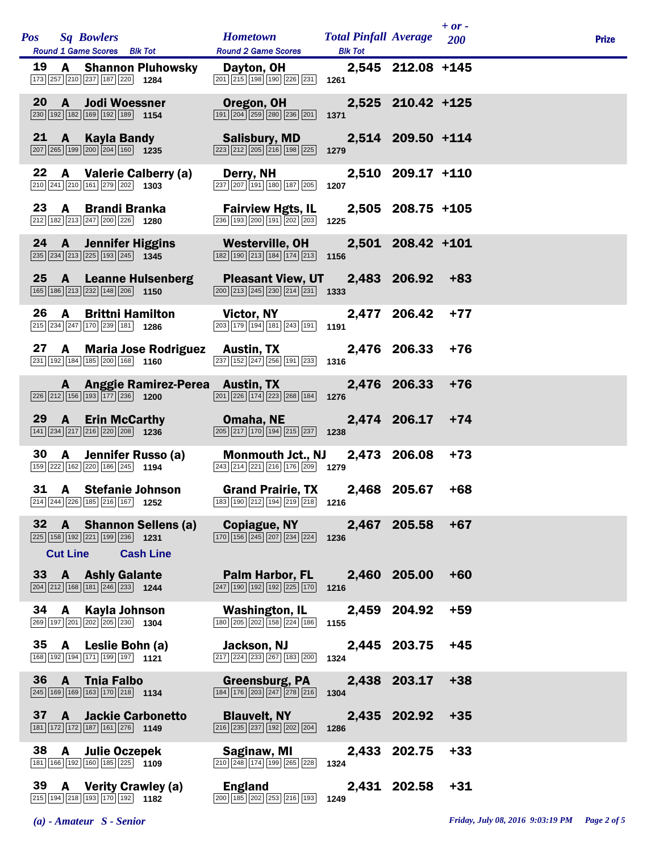|    | <b>Pos</b> Sq Bowlers                                                                                                 | <b>Round 1 Game Scores</b> Blk Tot                                                                                            | Hometown Total Pinfall Average 200<br><b>Round 2 Game Scores</b>                                                                                    | <b>Blk Tot</b> |                   | $+$ or - | <b>Prize</b> |
|----|-----------------------------------------------------------------------------------------------------------------------|-------------------------------------------------------------------------------------------------------------------------------|-----------------------------------------------------------------------------------------------------------------------------------------------------|----------------|-------------------|----------|--------------|
|    | 173 257 210 237 187 220 1284                                                                                          |                                                                                                                               | 19 A Shannon Pluhowsky Dayton, OH<br>$\boxed{201}$ $\boxed{215}$ $\boxed{198}$ $\boxed{190}$ $\boxed{226}$ $\boxed{231}$ <b>1261</b>                |                | 2,545 212.08 +145 |          |              |
|    | 20 A Jodi Woessner<br>$\boxed{230}$ 192 182 169 192 189 1154                                                          |                                                                                                                               | Oregon, OH<br>$\boxed{191}$ $\boxed{204}$ $\boxed{259}$ $\boxed{280}$ $\boxed{236}$ $\boxed{201}$                                                   | 1371           | 2,525 210.42 +125 |          |              |
|    | $\boxed{207}$ $\boxed{265}$ $\boxed{199}$ $\boxed{200}$ $\boxed{204}$ $\boxed{160}$ 1235                              | 21 A Kayla Bandy                                                                                                              | Salisbury, MD<br>$\boxed{223}$ $\boxed{212}$ $\boxed{205}$ $\boxed{216}$ $\boxed{198}$ $\boxed{225}$                                                | 1279           | 2,514 209.50 +114 |          |              |
| 22 | 210 241 210 161 279 202 1303                                                                                          | A Valerie Calberry (a)                                                                                                        | Derry, NH<br>$\boxed{237}$ $\boxed{207}$ $\boxed{191}$ $\boxed{180}$ $\boxed{187}$ $\boxed{205}$                                                    | 1207           | 2,510 209.17 +110 |          |              |
|    | 23 A Brandi Branka<br>$212$ 182 213 247 200 226 1280                                                                  |                                                                                                                               | <b>Fairview Hgts, IL</b><br>236 193 200 191 202 203                                                                                                 | 1225           | 2,505 208.75 +105 |          |              |
|    |                                                                                                                       | $\overline{ 235 }$ $\overline{ 234 }$ $\overline{ 213 }$ $\overline{ 225 }$ $\overline{ 193 }$ $\overline{ 245 }$ <b>1345</b> | 24 A Jennifer Higgins Westerville, OH 2,501 208.42 +101<br>$\boxed{182}$ $\boxed{190}$ $\boxed{213}$ $\boxed{184}$ $\boxed{174}$ $\boxed{213}$ 1156 |                |                   |          |              |
|    | 165 186 213 232 148 206 1150                                                                                          | 25 A Leanne Hulsenberg                                                                                                        | Pleasant View, UT 2,483 206.92<br>$\boxed{200}$ $\boxed{213}$ $\boxed{245}$ $\boxed{230}$ $\boxed{214}$ $\boxed{231}$ <b>1333</b>                   |                |                   | $+83$    |              |
| 26 | A<br>215 234 247 170 239 181 1286                                                                                     | <b>Brittni Hamilton</b>                                                                                                       | <b>Victor, NY</b><br>$\overline{203}$ 179 194 181 243 191 191                                                                                       |                | 2,477 206.42      | $+77$    |              |
|    | 231 192 184 185 200 168 1160                                                                                          |                                                                                                                               | 27 A Maria Jose Rodriguez Austin, TX<br>$\boxed{237}$ $\boxed{152}$ $\boxed{247}$ $\boxed{256}$ $\boxed{191}$ $\boxed{233}$ <b>1316</b>             |                | 2,476 206.33      | +76      |              |
|    |                                                                                                                       | $\boxed{226}\boxed{212}\boxed{156}\boxed{193}\boxed{177}\boxed{236}$ <b>1200</b>                                              | A Anggie Ramirez-Perea Austin, TX<br>$\boxed{201}$ $\boxed{226}$ $\boxed{174}$ $\boxed{223}$ $\boxed{268}$ $\boxed{184}$ <b>1276</b>                |                | 2,476 206.33      | $+76$    |              |
|    |                                                                                                                       | 29 A Erin McCarthy<br>$\boxed{141}$ $\boxed{234}$ $\boxed{217}$ $\boxed{216}$ $\boxed{220}$ $\boxed{208}$ <b>1236</b>         | <b>Omaha, NE</b><br>$\boxed{205}$ $\boxed{217}$ $\boxed{170}$ $\boxed{194}$ $\boxed{215}$ $\boxed{237}$ <b>1238</b>                                 |                | 2,474 206.17      | $+74$    |              |
| 30 | 159 222 162 220 186 245 1194                                                                                          | A Jennifer Russo (a)                                                                                                          | <b>Monmouth Jct., NJ</b><br>$\boxed{243}$ $\boxed{214}$ $\boxed{221}$ $\boxed{216}$ $\boxed{176}$ $\boxed{209}$ <b>1279</b>                         |                | 2,473 206.08      | $+73$    |              |
|    | 31 A Stefanie Johnson<br>214 244 226 185 216 167 1252                                                                 |                                                                                                                               | 183 190 212 194 219 218 1216                                                                                                                        |                |                   | $+68$    |              |
|    | $\boxed{225}$ 158 192 221 199 236 1231<br><b>Cut Line</b>                                                             | 32 A Shannon Sellens (a)<br><b>Cash Line</b>                                                                                  | <b>Copiague, NY</b><br>$\boxed{170}$ $\boxed{156}$ $\boxed{245}$ $\boxed{207}$ $\boxed{234}$ $\boxed{224}$ <b>1236</b>                              |                | 2,467 205.58      | $+67$    |              |
|    | 33 A Ashly Galante<br>$\boxed{204}$ $\boxed{212}$ $\boxed{168}$ $\boxed{181}$ $\boxed{246}$ $\boxed{233}$ <b>1244</b> |                                                                                                                               | <b>Palm Harbor, FL</b><br>247 190 192 192 225 170                                                                                                   | 1216           | 2,460 205.00      | $+60$    |              |
| 34 | A Kayla Johnson<br>269 197 201 202 205 230 1304                                                                       |                                                                                                                               | Washington, IL<br>180 205 202 158 224 186                                                                                                           | 1155           | 2,459 204.92      | $+59$    |              |
|    | 35 A Leslie Bohn (a)<br>168 192 194 171 199 197 1121                                                                  |                                                                                                                               | Jackson, NJ<br>217 224 233 267 183 200                                                                                                              | 1324           | 2,445 203.75      | $+45$    |              |
| 36 | A Tnia Falbo<br>245 169 169 163 170 218 1134                                                                          |                                                                                                                               | <b>Greensburg, PA</b><br>$\boxed{184}$ $\boxed{176}$ $\boxed{203}$ $\boxed{247}$ $\boxed{278}$ $\boxed{216}$                                        | 1304           | 2,438 203.17      | $+38$    |              |
|    | 181 172 172 187 161 276 1149                                                                                          | 37 A Jackie Carbonetto                                                                                                        | <b>Blauvelt, NY</b><br>$\boxed{216}$ $\boxed{235}$ $\boxed{237}$ $\boxed{192}$ $\boxed{202}$ $\boxed{204}$                                          | 1286           | 2,435 202.92      | $+35$    |              |
|    | 38 A Julie Oczepek<br>181 166 192 160 185 225 1109                                                                    |                                                                                                                               | Saginaw, MI<br>210 248 174 199 265 228                                                                                                              | 1324           | 2,433 202.75      | $+33$    |              |
|    | 39 A Verity Crawley (a)<br>215 194 218 193 170 192 1182                                                               |                                                                                                                               | <b>England</b><br>200 185 202 253 216 193                                                                                                           | 1249           | 2,431 202.58      | $+31$    |              |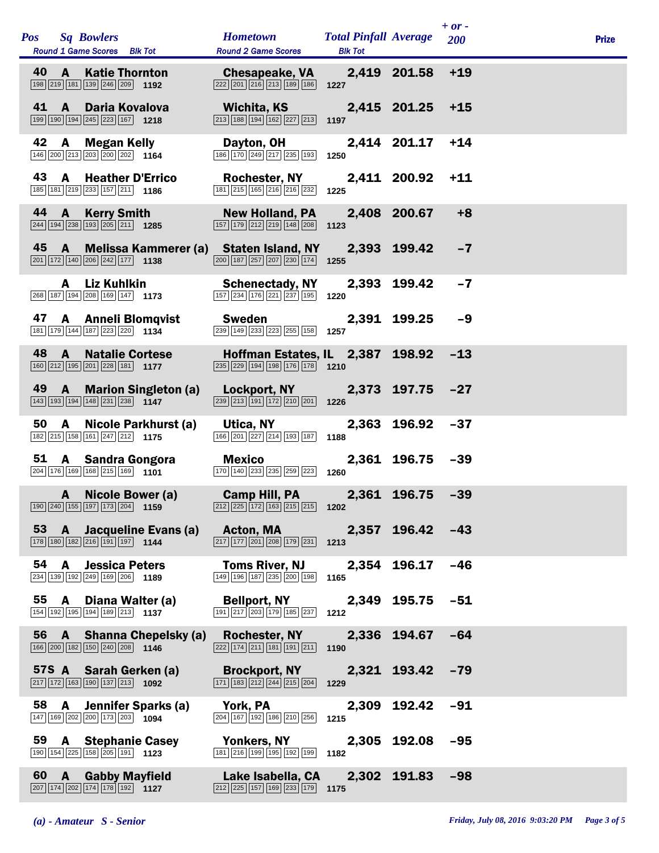| <b>Pos</b> |                | <b>Sq Bowlers</b><br>Round 1 Game Scores Blk Tot                                                                    |                             | <b>Hometown</b><br><b>Round 2 Game Scores</b>                                                                                 | <b>Total Pinfall Average</b><br><b>Blk Tot</b> |                  | $+ or -$<br>200 | <b>Prize</b> |
|------------|----------------|---------------------------------------------------------------------------------------------------------------------|-----------------------------|-------------------------------------------------------------------------------------------------------------------------------|------------------------------------------------|------------------|-----------------|--------------|
| 40         | A              | <b>Katie Thornton</b><br>198 219 181 139 246 209 1192                                                               |                             | <b>Chesapeake, VA</b><br>$\boxed{222}$ $\boxed{201}$ $\boxed{216}$ $\boxed{213}$ $\boxed{189}$ $\boxed{186}$ <b>1227</b>      |                                                | 2,419 201.58     | $+19$           |              |
| 41         | <b>A</b>       | Daria Kovalova<br>199 190 194 245 223 167 1218                                                                      |                             | Wichita, KS<br>213 188 194 162 227 213                                                                                        | 1197                                           | 2,415 201.25     | $+15$           |              |
| 42         | $\mathbf{A}$   | <b>Megan Kelly</b><br>146 200 213 203 200 202 1164                                                                  |                             | Dayton, OH<br>186 170 249 217 235 193                                                                                         | 1250                                           | 2,414 201.17     | $+14$           |              |
| 43         | A              | <b>Heather D'Errico</b><br>185 181 219 233 157 211 1186                                                             |                             | <b>Rochester, NY</b><br>181 215 165 216 216 232                                                                               | 1225                                           | 2,411 200.92     | $+11$           |              |
| 44         | $\overline{A}$ | <b>Kerry Smith</b><br>$\boxed{244}$ 194 238 193 205 211 1285                                                        |                             | <b>New Holland, PA</b><br>157 179 212 219 148 208                                                                             | 1123                                           | 2,408 200.67     | $+8$            |              |
| 45         | $\mathbf{A}$   | $\boxed{201}$ $\boxed{172}$ $\boxed{140}$ $\boxed{206}$ $\boxed{242}$ $\boxed{177}$ <b>1138</b>                     |                             | Melissa Kammerer (a) Staten Island, NY<br>$\boxed{200}$ $\boxed{187}$ $\boxed{257}$ $\boxed{207}$ $\boxed{230}$ $\boxed{174}$ | 1255                                           | 2,393 199.42     | $-7$            |              |
|            |                | A Liz Kuhlkin<br>$\boxed{268}$ $\boxed{187}$ $\boxed{194}$ $\boxed{208}$ $\boxed{169}$ $\boxed{147}$ 1173           |                             | <b>Schenectady, NY</b><br>$\boxed{157}$ $\boxed{234}$ $\boxed{176}$ $\boxed{221}$ $\boxed{237}$ $\boxed{195}$                 | 1220                                           | 2,393 199.42     | $-7$            |              |
| 47         |                | <b>A</b> Anneli Blomqvist<br>181 179 144 187 223 220 1134                                                           |                             | <b>Sweden</b><br>239 149 233 223 255 158                                                                                      | 1257                                           | 2,391 199.25     | $-9$            |              |
| 48         | $\mathbf{A}$   | <b>Natalie Cortese</b><br>160 212 195 201 228 181 177                                                               |                             | Hoffman Estates, IL 2,387<br>$\overline{235}$ $\overline{229}$ 194 198 176 178 1210                                           |                                                | 198.92           | $-13$           |              |
| 49         | $\mathbf{A}$   | 143 193 194 148 231 238 1147                                                                                        | <b>Marion Singleton (a)</b> | Lockport, NY<br>239 213 191 172 210 201                                                                                       | 1226                                           | 2,373 197.75     | $-27$           |              |
| 50         | $\mathbf{A}$   | 182 215 158 161 247 212 175                                                                                         | Nicole Parkhurst (a)        | Utica, NY<br>166 201 227 214 193 187                                                                                          | 2,363<br>1188                                  | 196.92           | $-37$           |              |
| 51         |                | A Sandra Gongora<br>204 176 169 168 215 169 1101                                                                    |                             | Mexico<br>170 140 233 235 259 223                                                                                             | 1260                                           | 2,361 196.75     | $-39$           |              |
|            | A              | Nicole Bower (a)<br>$\boxed{190}$ $\boxed{240}$ $\boxed{155}$ $\boxed{197}$ $\boxed{173}$ $\boxed{204}$ <b>1159</b> |                             | <b>Camp Hill, PA</b><br>$\boxed{212}$ $\boxed{225}$ 172 163 215 215 1202                                                      |                                                | 2,361 196.75     | $-39$           |              |
|            |                | 178 180 182 216 191 197 1144                                                                                        | 53 A Jacqueline Evans (a)   | <b>Acton, MA</b><br>$\boxed{217}$ $\boxed{177}$ $\boxed{201}$ $\boxed{208}$ $\boxed{179}$ $\boxed{231}$ <b>1213</b>           |                                                | 2,357 196.42 -43 |                 |              |
| 54         | A              | <b>Jessica Peters</b><br>234 139 192 249 169 206 1189                                                               |                             | <b>Toms River, NJ</b><br>149 196 187 235 200 198                                                                              | 1165                                           | 2,354 196.17 -46 |                 |              |
|            |                | 55 A Diana Walter (a)<br>154 192 195 194 189 213 1137                                                               |                             | <b>Bellport, NY</b><br>$\boxed{191}$ $\boxed{217}$ $\boxed{203}$ $\boxed{179}$ $\boxed{185}$ $\boxed{237}$                    | 1212                                           | 2,349 195.75 -51 |                 |              |
|            |                | 166 200 182 150 240 208 1146                                                                                        | 56 A Shanna Chepelsky (a)   | <b>Rochester, NY</b><br>$\boxed{222}\boxed{174}\boxed{211}\boxed{181}\boxed{191}\boxed{211}$                                  | 1190                                           | 2,336 194.67     | $-64$           |              |
|            |                | 57S A Sarah Gerken (a)<br>$\boxed{217}$ 172 163 190 137 213 1092                                                    |                             | <b>Brockport, NY</b><br>$\boxed{171}$ $\boxed{183}$ $\boxed{212}$ $\boxed{244}$ $\boxed{215}$ $\boxed{204}$                   | 1229                                           | 2,321 193.42 -79 |                 |              |
| 58 A       |                | Jennifer Sparks (a)<br>147 169 202 200 173 203 1094                                                                 |                             | York, PA<br>$\boxed{204}$ $\boxed{167}$ $\boxed{192}$ $\boxed{186}$ $\boxed{210}$ $\boxed{256}$                               | 1215                                           | 2,309 192.42     | $-91$           |              |
|            |                | 59 A Stephanie Casey<br>190 154 225 158 205 191 123                                                                 |                             | <b>Yonkers, NY</b><br>181 216 199 195 192 199                                                                                 | 1182                                           | 2,305 192.08 -95 |                 |              |
| 60 A       |                | <b>Gabby Mayfield</b><br>207 174 202 174 178 192 1127                                                               |                             | Lake Isabella, CA<br>$\boxed{212}$ $\boxed{225}$ 157 169 233 179 1175                                                         |                                                | 2,302 191.83 -98 |                 |              |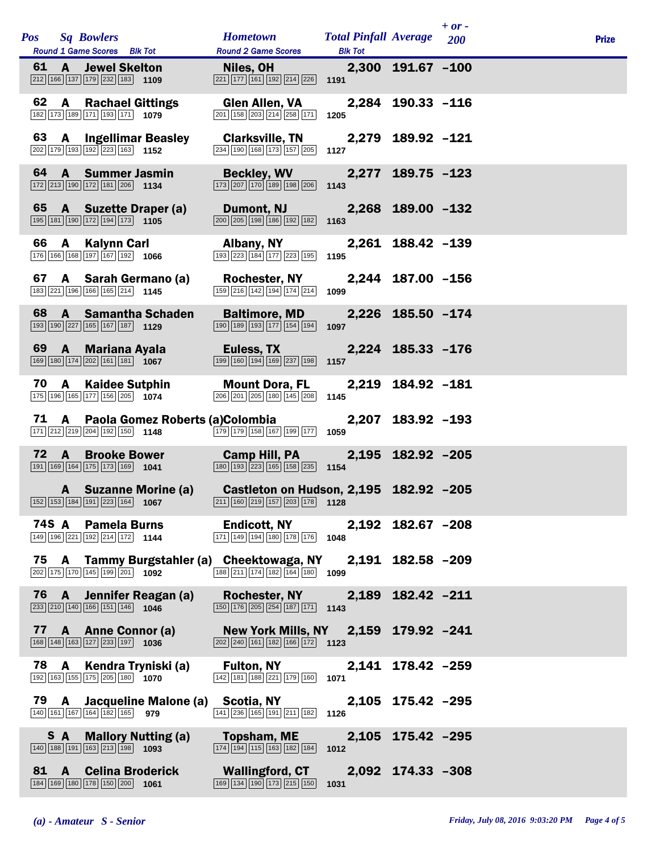|      |              | Pos Sq Bowlers<br>Round 1 Game Scores Blk Tot                                                                                 |                                                                                                 | <b>Hometown</b><br><b>Round 2 Game Scores</b>                                                                           | <b>Total Pinfall Average</b><br><b>Blk Tot</b> |                   | $+ or -$<br><b>200</b> | <b>Prize</b> |
|------|--------------|-------------------------------------------------------------------------------------------------------------------------------|-------------------------------------------------------------------------------------------------|-------------------------------------------------------------------------------------------------------------------------|------------------------------------------------|-------------------|------------------------|--------------|
|      |              | 61 A Jewel Skelton<br>$\boxed{212}$ 166 137 179 232 183 1109                                                                  |                                                                                                 | Niles, OH<br>$\boxed{221}$ 177 161 192 214 226 1191                                                                     |                                                | 2,300 191.67 -100 |                        |              |
| 62   |              | <b>A</b> Rachael Gittings<br>182 173 189 171 193 171 1979                                                                     |                                                                                                 | <b>Glen Allen, VA</b><br>$\boxed{201}$ $\boxed{158}$ $\boxed{203}$ $\boxed{214}$ $\boxed{258}$ $\boxed{171}$            | 1205                                           | 2,284 190.33 -116 |                        |              |
| 63   |              | <b>A</b> Ingellimar Beasley<br>$\boxed{202}$ 179 193 192 223 163 1152                                                         |                                                                                                 | <b>Clarksville, TN</b><br>234 190 168 173 157 205                                                                       | 1127                                           | 2,279 189.92 -121 |                        |              |
|      |              | 64 A Summer Jasmin<br>$\boxed{172}\boxed{213}\boxed{190}\boxed{172}\boxed{181}\boxed{206}$ 1134                               |                                                                                                 | <b>Beckley, WV</b><br>173 207 170 189 198 206                                                                           | 1143                                           | 2,277 189.75 -123 |                        |              |
| 65   |              | <b>A</b> Suzette Draper (a)<br>195 181 190 172 194 173 1105                                                                   |                                                                                                 | Dumont, NJ<br>$\boxed{200}$ $\boxed{205}$ $\boxed{198}$ $\boxed{186}$ $\boxed{192}$ $\boxed{182}$                       | 1163                                           | 2,268 189.00 -132 |                        |              |
| 66   | $\mathbf{A}$ | Kalynn Carl<br>$\boxed{176}$ $\boxed{166}$ $\boxed{168}$ $\boxed{197}$ $\boxed{167}$ $\boxed{192}$ 1066                       |                                                                                                 | <b>Albany, NY</b><br>193 223 184 177 223 195                                                                            | 1195                                           | 2,261 188.42 -139 |                        |              |
| 67   |              | A Sarah Germano (a)<br>183 221 196 166 165 214 1145                                                                           |                                                                                                 | <b>Rochester, NY</b><br>159 216 142 194 174 214                                                                         | 1099                                           | 2,244 187.00 -156 |                        |              |
| 68   | $\mathbf{A}$ | <b>Samantha Schaden</b><br>193 190 227 165 167 187 1129                                                                       |                                                                                                 | <b>Baltimore, MD</b><br>190 189 193 177 154 194                                                                         | 1097                                           | 2,226 185.50 -174 |                        |              |
|      |              | 69 A Mariana Ayala<br>169 180 174 202 161 181 1067                                                                            |                                                                                                 | Euless, TX<br>$\boxed{199}$ $\boxed{160}$ $\boxed{194}$ $\boxed{169}$ $\boxed{237}$ $\boxed{198}$                       | 1157                                           | 2,224 185.33 -176 |                        |              |
| 70   | $\mathbf{A}$ | <b>Kaidee Sutphin</b><br>$\boxed{175}$ $\boxed{196}$ $\boxed{165}$ $\boxed{177}$ $\boxed{156}$ $\boxed{205}$ <b>1074</b>      |                                                                                                 | Mount Dora, FL<br>$\boxed{206}$ $\boxed{201}$ $\boxed{205}$ $\boxed{180}$ $\boxed{145}$ $\boxed{208}$                   | 1145                                           | 2,219 184.92 -181 |                        |              |
| 71 A |              | 171 212 219 204 192 150 1148                                                                                                  |                                                                                                 | Paola Gomez Roberts (a)Colombia<br>$179$ 179 158 167 199 177 1059                                                       |                                                | 2,207 183.92 -193 |                        |              |
| 72   | $\mathbf{A}$ | <b>Brooke Bower</b><br>191 169 164 175 173 169 1041                                                                           |                                                                                                 | <b>Camp Hill, PA</b><br>$\boxed{180}$ $\boxed{193}$ $\boxed{223}$ $\boxed{165}$ $\boxed{158}$ $\boxed{235}$ <b>1154</b> |                                                | 2,195 182.92 -205 |                        |              |
|      |              | A Suzanne Morine (a)                                                                                                          | $\boxed{152}$ $\boxed{153}$ $\boxed{184}$ $\boxed{191}$ $\boxed{223}$ $\boxed{164}$ <b>1067</b> | Castleton on Hudson, 2,195 182.92 -205<br>211 160 219 157 203 178 1128                                                  |                                                |                   |                        |              |
|      |              | 74S A Pamela Burns<br>149 196 221 192 214 172 1144                                                                            |                                                                                                 | <b>Endicott, NY</b><br>171 149 194 180 178 176 1048                                                                     |                                                | 2,192 182.67 -208 |                        |              |
|      |              | 202 175 170 145 199 201 1092                                                                                                  |                                                                                                 | 75 A Tammy Burgstahler (a) Cheektowaga, NY 2,191 182.58 -209<br>188 211 174 182 164 180 1099                            |                                                |                   |                        |              |
|      |              | $\boxed{233}$ $\boxed{210}$ $\boxed{140}$ $\boxed{166}$ $\boxed{151}$ $\boxed{146}$ <b>1046</b>                               | 76 A Jennifer Reagan (a)                                                                        | <b>Rochester, NY</b><br>$\boxed{150}$ $\boxed{176}$ $\boxed{205}$ $\boxed{254}$ $\boxed{187}$ $\boxed{171}$ <b>1143</b> |                                                | 2,189 182.42 -211 |                        |              |
|      |              | 77 A Anne Connor (a)<br>$\boxed{168}$ $\boxed{148}$ $\boxed{163}$ $\boxed{127}$ $\boxed{233}$ $\boxed{197}$ <b>1036</b>       |                                                                                                 | New York Mills, NY 2,159 179.92 -241<br>$\boxed{202}$ $\boxed{240}$ 161 182 166 172 1123                                |                                                |                   |                        |              |
|      |              | 78 A Kendra Tryniski (a)<br>192 163 155 175 205 180 1070                                                                      |                                                                                                 | <b>Fulton, NY</b><br>$\boxed{142}\boxed{181}\boxed{188}\boxed{221}\boxed{179}\boxed{160}$ 1071                          |                                                | 2,141 178.42 -259 |                        |              |
|      |              | 140 161 167 164 182 165 979                                                                                                   |                                                                                                 | 79 A Jacqueline Malone (a) Scotia, NY<br>141 236 165 191 211 182 1126                                                   |                                                | 2,105 175.42 -295 |                        |              |
|      | S A          | <b>Mallory Nutting (a)</b><br>$\boxed{140}$ $\boxed{188}$ $\boxed{191}$ $\boxed{163}$ $\boxed{213}$ $\boxed{198}$ <b>1093</b> |                                                                                                 | <b>Topsham, ME</b><br>$\boxed{174}$ $\boxed{194}$ $\boxed{115}$ $\boxed{163}$ $\boxed{182}$ $\boxed{184}$ 1012          |                                                | 2,105 175.42 -295 |                        |              |
|      |              | 81 A Celina Broderick<br>184 169 180 178 150 200 1061                                                                         |                                                                                                 | <b>Wallingford, CT</b><br>$\boxed{169}$ $\boxed{134}$ $\boxed{190}$ $\boxed{173}$ $\boxed{215}$ $\boxed{150}$           | 1031                                           | 2,092 174.33 -308 |                        |              |